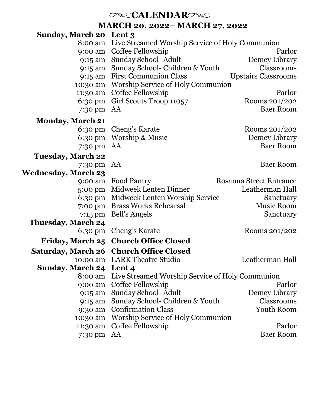## *CALENDARC*

**MARCH 20, 2022– MARCH 27, 2022**

| Sunday, March 20 Lent 3    |                                                 |                            |
|----------------------------|-------------------------------------------------|----------------------------|
| 8:00 am                    | Live Streamed Worship Service of Holy Communion |                            |
| 9:00 am                    | Coffee Fellowship                               | Parlor                     |
| 9:15 am                    | Sunday School- Adult                            | Demey Library              |
| 9:15 am                    | Sunday School-Children & Youth                  | Classrooms                 |
| 9:15 am                    | <b>First Communion Class</b>                    | <b>Upstairs Classrooms</b> |
| 10:30 am                   | Worship Service of Holy Communion               |                            |
| 11:30 am                   | Coffee Fellowship                               | Parlor                     |
| 6:30 pm                    | Girl Scouts Troop 11057                         | Rooms 201/202              |
| 7:30 pm AA                 |                                                 | <b>Baer Room</b>           |
| <b>Monday, March 21</b>    |                                                 |                            |
| 6:30 pm                    | Cheng's Karate                                  | Rooms 201/202              |
| 6:30 pm                    | Worship & Music                                 | Demey Library              |
| 7:30 pm                    | AA                                              | <b>Baer Room</b>           |
| <b>Tuesday, March 22</b>   |                                                 |                            |
| 7:30 pm                    | AA                                              | <b>Baer Room</b>           |
| <b>Wednesday, March 23</b> |                                                 |                            |
| 9:00 am                    | Food Pantry                                     | Rosanna Street Entrance    |
| 5:00 pm                    | Midweek Lenten Dinner                           | Leatherman Hall            |
| 6:30 pm                    | Midweek Lenten Worship Service                  | Sanctuary                  |
| 7:00 pm                    | <b>Brass Works Rehearsal</b>                    | Music Room                 |
| 7:15 pm                    | Bell's Angels                                   | Sanctuary                  |
| Thursday, March 24         |                                                 |                            |
| 6:30 pm                    | Cheng's Karate                                  | Rooms 201/202              |
| Friday, March 25           | <b>Church Office Closed</b>                     |                            |
| <b>Saturday, March 26</b>  | <b>Church Office Closed</b>                     |                            |
| 10:00 am                   | <b>LARK Theatre Studio</b>                      | Leatherman Hall            |
| Sunday, March 24           | Lent 4                                          |                            |
| 8:00 am                    | Live Streamed Worship Service of Holy Communion |                            |
| 9:00 am                    | Coffee Fellowship                               | Parlor                     |
| 9:15 am                    | Sunday School-Adult                             | Demey Library              |
| 9:15 am                    | Sunday School- Children & Youth                 | Classrooms                 |
| 9:30 am                    | <b>Confirmation Class</b>                       | Youth Room                 |
| 10:30 am                   | Worship Service of Holy Communion               |                            |
| 11:30 am                   | Coffee Fellowship                               | Parlor                     |
| 7:30 pm                    | AA                                              | <b>Baer Room</b>           |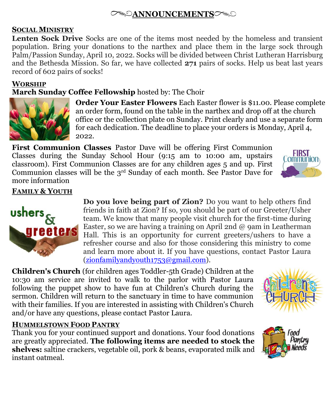## **ANNOUNCEMENTS**

### **SOCIAL MINISTRY**

**Lenten Sock Drive** Socks are one of the items most needed by the homeless and transient population. Bring your donations to the narthex and place them in the large sock through Palm/Passion Sunday, April 10, 2022. Socks will be divided between Christ Lutheran Harrisburg and the Bethesda Mission. So far, we have collected **271** pairs of socks. Help us beat last years record of 602 pairs of socks!

### **WORSHIP**

 **March Sunday Coffee Fellowship** hosted by: The Choir



**Order Your Easter Flowers** Each Easter flower is \$11.00. Please complete an order form, found on the table in the narthex and drop off at the church office or the collection plate on Sunday. Print clearly and use a separate form for each dedication. The deadline to place your orders is Monday, April 4, 2022.

**First Communion Classes** Pastor Dave will be offering First Communion Classes during the Sunday School Hour (9:15 am to 10:00 am, upstairs classroom). First Communion Classes are for any children ages 5 and up. First Communion classes will be the 3rd Sunday of each month. See Pastor Dave for more information



### **FAMILY & YOUTH**



**Do you love being part of Zion?** Do you want to help others find friends in faith at Zion? If so, you should be part of our Greeter/Usher team. We know that many people visit church for the first-time during Easter, so we are having a training on April 2nd  $\omega$  9am in Leatherman Hall. This is an opportunity for current greeters/ushers to have a refresher course and also for those considering this ministry to come and learn more about it. If you have questions, contact Pastor Laura  $(zion family and vouth 1753@gmail.com)$ .

**Children's Church** (for children ages Toddler-5th Grade) Children at the 10:30 am service are invited to walk to the parlor with Pastor Laura following the puppet show to have fun at Children's Church during the sermon. Children will return to the sanctuary in time to have communion with their families. If you are interested in assisting with Children's Church and/or have any questions, please contact Pastor Laura.

### **HUMMELSTOWN FOOD PANTRY**

Thank you for your continued support and donations. Your food donations are greatly appreciated. **The following items are needed to stock the shelves:** saltine crackers, vegetable oil, pork & beans, evaporated milk and instant oatmeal.



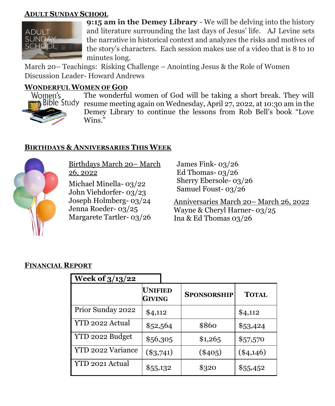### **ADULT SUNDAY SCHOOL**



**9:15 am in the Demey Library** - We will be delving into the history and literature surrounding the last days of Jesus' life. AJ Levine sets the narrative in historical context and analyzes the risks and motives of the story's characters. Each session makes use of a video that is 8 to 10 minutes long.

March 20– Teachings: Risking Challenge – Anointing Jesus & the Role of Women Discussion Leader- Howard Andrews

# **WONDERFUL WOMEN OF GOD**<br>Women's The wonderfu



The wonderful women of God will be taking a short break. They will  $\frac{1}{2}$  Bible Study resume meeting again on Wednesday, April 27, 2022, at 10:30 am in the Demey Library to continue the lessons from Rob Bell's book "Love Wins."

### **BIRTHDAYS & ANNIVERSARIES THIS WEEK**



Birthdays March 20– March 26, 2022

Michael Minella- 03/22 John Viehdorfer- 03/23 Joseph Holmberg- 03/24 Jenna Roeder- 03/25 Margarete Tartler- 03/26

James Fink- 03/26 Ed Thomas- 03/26 Sherry Ebersole- 03/26 Samuel Foust- 03/26

Anniversaries March 20– March 26, 2022 Wayne & Cheryl Harner- 03/25 Ina & Ed Thomas 03/26

### **FINANCIAL REPORT**

| <b>Week of 3/13/22</b> |                   |                    |              |
|------------------------|-------------------|--------------------|--------------|
|                        | Unified<br>GIVING | <b>SPONSORSHIP</b> | <b>TOTAL</b> |
| Prior Sunday 2022      | \$4,112           |                    | \$4,112      |
| YTD 2022 Actual        | \$52,564          | \$860              | \$53,424     |
| YTD 2022 Budget        | \$56,305          | \$1,265            | \$57,570     |
| YTD 2022 Variance      | $(*3,741)$        | $(\$405)$          | $(*4,146)$   |
| YTD 2021 Actual        | \$55,132          | \$320              | \$55,452     |